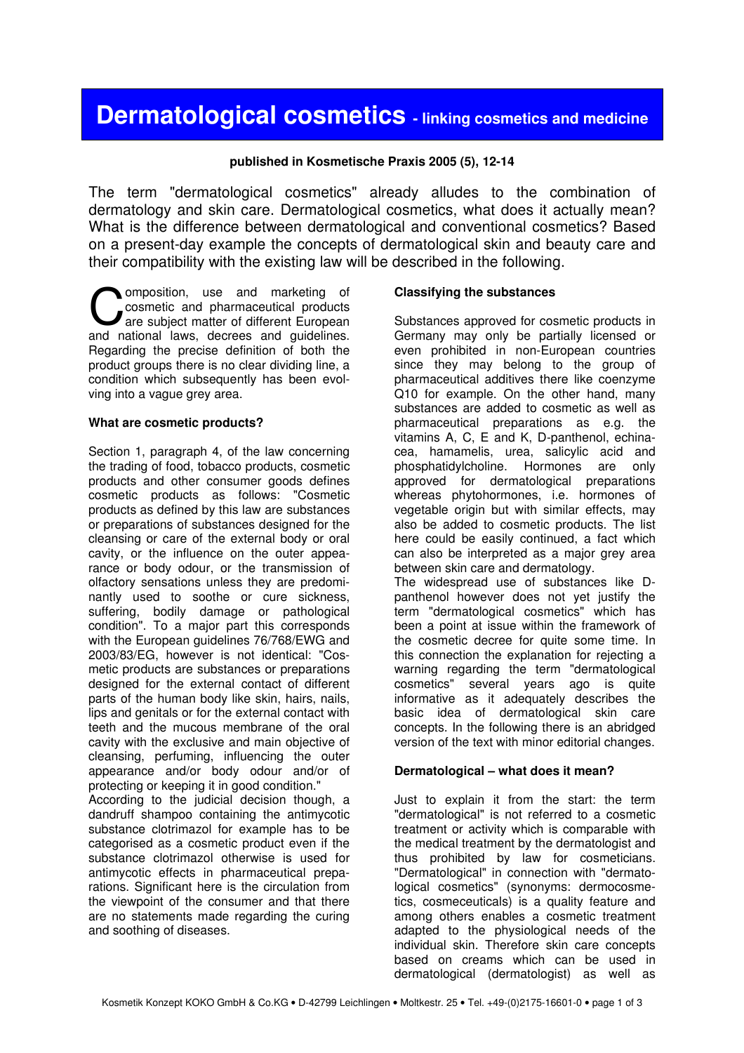# Dermatological cosmetics - linking cosmetics and medicine

#### published in Kosmetische Praxis 2005 (5), 12-14

The term "dermatological cosmetics" already alludes to the combination of dermatology and skin care. Dermatological cosmetics, what does it actually mean? What is the difference between dermatological and conventional cosmetics? Based on a present-day example the concepts of dermatological skin and beauty care and their compatibility with the existing law will be described in the following.

omposition, use and marketing of cosmetic and pharmaceutical products are subject matter of different European **COMPOSITION COMPOSITION** are subject matter of different European and national laws, decrees and guidelines. Regarding the precise definition of both the product groups there is no clear dividing line, a condition which subsequently has been evolving into a vague grey area.

#### What are cosmetic products?

Section 1, paragraph 4, of the law concerning the trading of food, tobacco products, cosmetic products and other consumer goods defines cosmetic products as follows: "Cosmetic products as defined by this law are substances or preparations of substances designed for the cleansing or care of the external body or oral cavity, or the influence on the outer appearance or body odour, or the transmission of olfactory sensations unless they are predominantly used to soothe or cure sickness, suffering, bodily damage or pathological condition". To a major part this corresponds with the European guidelines 76/768/EWG and 2003/83/EG, however is not identical: "Cosmetic products are substances or preparations designed for the external contact of different parts of the human body like skin, hairs, nails, lips and genitals or for the external contact with teeth and the mucous membrane of the oral cavity with the exclusive and main objective of cleansing, perfuming, influencing the outer appearance and/or body odour and/or of protecting or keeping it in good condition."

According to the judicial decision though, a dandruff shampoo containing the antimycotic substance clotrimazol for example has to be categorised as a cosmetic product even if the substance clotrimazol otherwise is used for antimycotic effects in pharmaceutical preparations. Significant here is the circulation from the viewpoint of the consumer and that there are no statements made regarding the curing and soothing of diseases.

#### Classifying the substances

Substances approved for cosmetic products in Germany may only be partially licensed or even prohibited in non-European countries since they may belong to the group of pharmaceutical additives there like coenzyme Q10 for example. On the other hand, many substances are added to cosmetic as well as pharmaceutical preparations as e.g. the vitamins A, C, E and K, D-panthenol, echinacea, hamamelis, urea, salicylic acid and phosphatidylcholine. Hormones are only approved for dermatological preparations whereas phytohormones, i.e. hormones of vegetable origin but with similar effects, may also be added to cosmetic products. The list here could be easily continued, a fact which can also be interpreted as a major grey area between skin care and dermatology. The widespread use of substances like D-

panthenol however does not yet justify the term "dermatological cosmetics" which has been a point at issue within the framework of the cosmetic decree for quite some time. In this connection the explanation for rejecting a warning regarding the term "dermatological cosmetics" several years ago is quite informative as it adequately describes the basic idea of dermatological skin care concepts. In the following there is an abridged version of the text with minor editorial changes.

#### Dermatological – what does it mean?

Just to explain it from the start: the term "dermatological" is not referred to a cosmetic treatment or activity which is comparable with the medical treatment by the dermatologist and thus prohibited by law for cosmeticians. "Dermatological" in connection with "dermatological cosmetics" (synonyms: dermocosmetics, cosmeceuticals) is a quality feature and among others enables a cosmetic treatment adapted to the physiological needs of the individual skin. Therefore skin care concepts based on creams which can be used in dermatological (dermatologist) as well as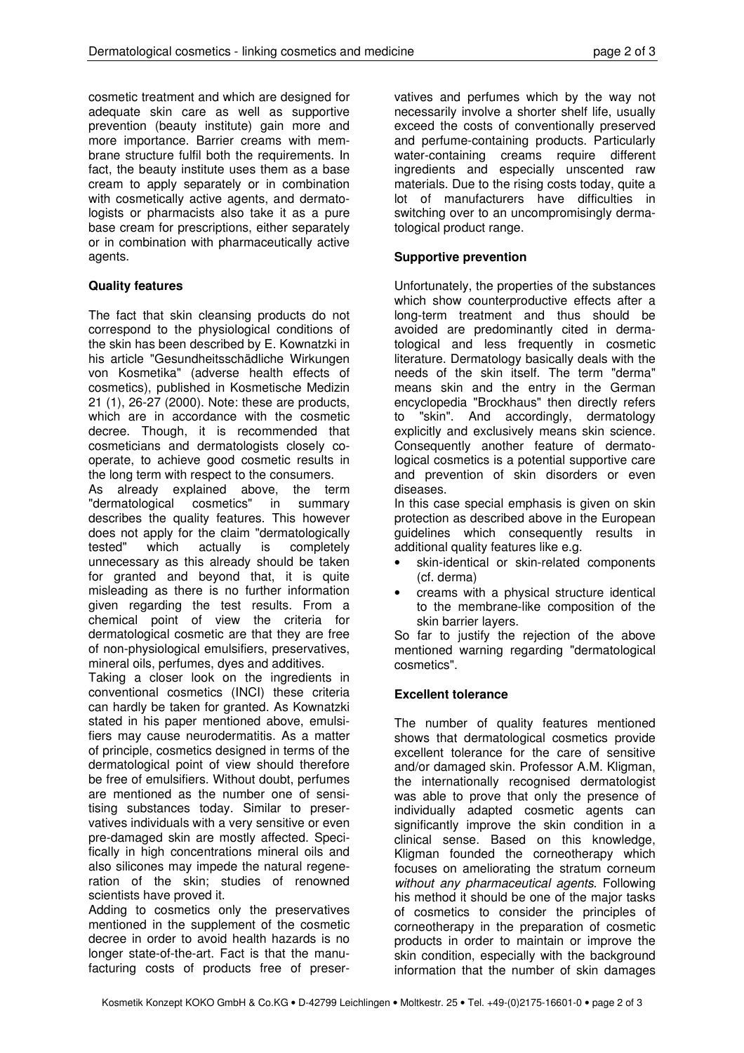cosmetic treatment and which are designed for adequate skin care as well as supportive prevention (beauty institute) gain more and more importance. Barrier creams with membrane structure fulfil both the requirements. In fact, the beauty institute uses them as a base cream to apply separately or in combination with cosmetically active agents, and dermatologists or pharmacists also take it as a pure base cream for prescriptions, either separately or in combination with pharmaceutically active agents.

## Quality features

The fact that skin cleansing products do not correspond to the physiological conditions of the skin has been described by E. Kownatzki in his article "Gesundheitsschädliche Wirkungen von Kosmetika" (adverse health effects of cosmetics), published in Kosmetische Medizin 21 (1), 26-27 (2000). Note: these are products, which are in accordance with the cosmetic decree. Though, it is recommended that cosmeticians and dermatologists closely cooperate, to achieve good cosmetic results in the long term with respect to the consumers.

As already explained above, the term "dermatological cosmetics" in summary describes the quality features. This however does not apply for the claim "dermatologically tested" which actually is completely unnecessary as this already should be taken for granted and beyond that, it is quite misleading as there is no further information given regarding the test results. From a chemical point of view the criteria for dermatological cosmetic are that they are free of non-physiological emulsifiers, preservatives, mineral oils, perfumes, dyes and additives.

Taking a closer look on the ingredients in conventional cosmetics (INCI) these criteria can hardly be taken for granted. As Kownatzki stated in his paper mentioned above, emulsifiers may cause neurodermatitis. As a matter of principle, cosmetics designed in terms of the dermatological point of view should therefore be free of emulsifiers. Without doubt, perfumes are mentioned as the number one of sensitising substances today. Similar to preservatives individuals with a very sensitive or even pre-damaged skin are mostly affected. Specifically in high concentrations mineral oils and also silicones may impede the natural regeneration of the skin; studies of renowned scientists have proved it.

Adding to cosmetics only the preservatives mentioned in the supplement of the cosmetic decree in order to avoid health hazards is no longer state-of-the-art. Fact is that the manufacturing costs of products free of preser-

vatives and perfumes which by the way not necessarily involve a shorter shelf life, usually exceed the costs of conventionally preserved and perfume-containing products. Particularly water-containing creams require different ingredients and especially unscented raw materials. Due to the rising costs today, quite a lot of manufacturers have difficulties in switching over to an uncompromisingly dermatological product range.

### Supportive prevention

Unfortunately, the properties of the substances which show counterproductive effects after a long-term treatment and thus should be avoided are predominantly cited in dermatological and less frequently in cosmetic literature. Dermatology basically deals with the needs of the skin itself. The term "derma" means skin and the entry in the German encyclopedia "Brockhaus" then directly refers to "skin". And accordingly, dermatology explicitly and exclusively means skin science. Consequently another feature of dermatological cosmetics is a potential supportive care and prevention of skin disorders or even diseases.

In this case special emphasis is given on skin protection as described above in the European guidelines which consequently results in additional quality features like e.g.

- skin-identical or skin-related components (cf. derma)
- creams with a physical structure identical to the membrane-like composition of the skin barrier layers.

So far to justify the rejection of the above mentioned warning regarding "dermatological cosmetics".

## Excellent tolerance

The number of quality features mentioned shows that dermatological cosmetics provide excellent tolerance for the care of sensitive and/or damaged skin. Professor A.M. Kligman, the internationally recognised dermatologist was able to prove that only the presence of individually adapted cosmetic agents can significantly improve the skin condition in a clinical sense. Based on this knowledge, Kligman founded the corneotherapy which focuses on ameliorating the stratum corneum without any pharmaceutical agents. Following his method it should be one of the major tasks of cosmetics to consider the principles of corneotherapy in the preparation of cosmetic products in order to maintain or improve the skin condition, especially with the background information that the number of skin damages